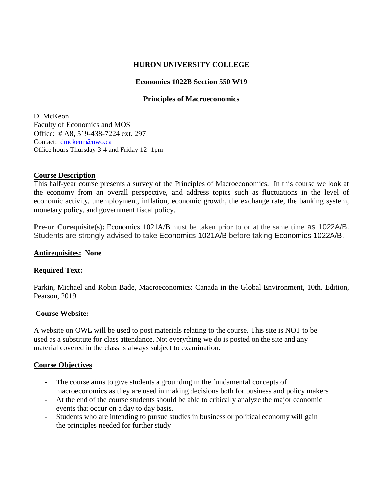# **HURON UNIVERSITY COLLEGE**

# **Economics 1022B Section 550 W19**

# **Principles of Macroeconomics**

D. McKeon Faculty of Economics and MOS Office: # A8, 519-438-7224 ext. 297 Contact: [dmckeon@uwo.ca](mailto:dmckeon@uwo.ca) Office hours Thursday 3-4 and Friday 12 -1pm

# **Course Description**

This half-year course presents a survey of the Principles of Macroeconomics. In this course we look at the economy from an overall perspective, and address topics such as fluctuations in the level of economic activity, unemployment, inflation, economic growth, the exchange rate, the banking system, monetary policy, and government fiscal policy.

**Pre-or Corequisite(s):** Economics 1021A/B must be taken prior to or at the same time as 1022A/B. Students are strongly advised to take Economics 1021A/B before taking Economics 1022A/B.

# **Antirequisites: None**

# **Required Text:**

Parkin, Michael and Robin Bade, Macroeconomics: Canada in the Global Environment, 10th. Edition, Pearson, 2019

# **Course Website:**

A website on OWL will be used to post materials relating to the course. This site is NOT to be used as a substitute for class attendance. Not everything we do is posted on the site and any material covered in the class is always subject to examination.

# **Course Objectives**

- The course aims to give students a grounding in the fundamental concepts of macroeconomics as they are used in making decisions both for business and policy makers
- At the end of the course students should be able to critically analyze the major economic events that occur on a day to day basis.
- Students who are intending to pursue studies in business or political economy will gain the principles needed for further study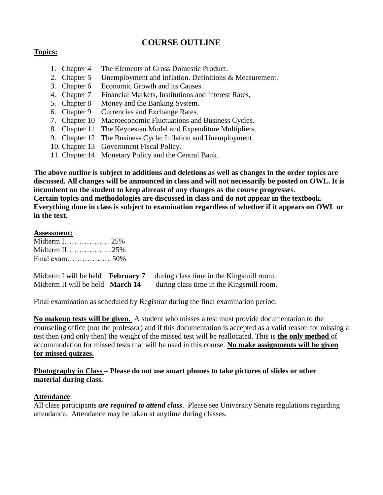# **COURSE OUTLINE**

# **Topics:**

- 1. Chapter 4 The Elements of Gross Domestic Product.
- 2. Chapter 5 Unemployment and Inflation. Definitions & Measurement.
- 3. Chapter 6 Economic Growth and its Causes.
- 4. Chapter 7 Financial Markets, Institutions and Interest Rates,
- 5. Chapter 8 Money and the Banking System.
- 6. Chapter 9 Currencies and Exchange Rates.
- 7. Chapter 10 Macroeconomic Fluctuations and Business Cycles.
- 8. Chapter 11 The Keynesian Model and Expenditure Multipliers.
- 9. Chapter 12 The Business Cycle; Inflation and Unemployment.
- 10. Chapter 13 Government Fiscal Policy.
- 11. Chapter 14 Monetary Policy and the Central Bank.

**The above outline is subject to additions and deletions as well as changes in the order topics are discussed. All changes will be announced in class and will not necessarily be posted on OWL. It is incumbent on the student to keep abreast of any changes as the course progresses. Certain topics and methodologies are discussed in class and do not appear in the textbook. Everything done in class is subject to examination regardless of whether if it appears on OWL or in the text.**

# **Assessment:**

| Midterm $1, \ldots, \ldots, \ldots, 25\%$ |  |
|-------------------------------------------|--|
| Midterm II25%                             |  |
| Final exam50%                             |  |

|                                  | Midterm I will be held <b>February 7</b> during class time in the Kingsmill room. |
|----------------------------------|-----------------------------------------------------------------------------------|
| Midterm II will be held March 14 | during class time in the Kingsmill room.                                          |

Final examination as scheduled by Registrar during the final examination period.

**No makeup tests will be given.** A student who misses a test must provide documentation to the counseling office (not the professor) and if this documentation is accepted as a valid reason for missing a test then (and only then) the weight of the missed test will be reallocated. This is **the only method** of accommodation for missed tests that will be used in this course. **No make assignments will be given for missed quizzes.** 

**Photography in Class – Please do not use smart phones to take pictures of slides or other material during class.** 

# **Attendance**

All class participants *are required to attend class*. Please see University Senate regulations regarding attendance. Attendance may be taken at anytime during classes.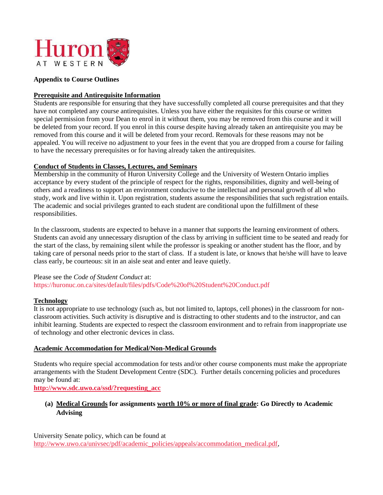

#### **Appendix to Course Outlines**

#### **Prerequisite and Antirequisite Information**

Students are responsible for ensuring that they have successfully completed all course prerequisites and that they have not completed any course antirequisites. Unless you have either the requisites for this course or written special permission from your Dean to enrol in it without them, you may be removed from this course and it will be deleted from your record. If you enrol in this course despite having already taken an antirequisite you may be removed from this course and it will be deleted from your record. Removals for these reasons may not be appealed. You will receive no adjustment to your fees in the event that you are dropped from a course for failing to have the necessary prerequisites or for having already taken the antirequisites.

### **Conduct of Students in Classes, Lectures, and Seminars**

Membership in the community of Huron University College and the University of Western Ontario implies acceptance by every student of the principle of respect for the rights, responsibilities, dignity and well-being of others and a readiness to support an environment conducive to the intellectual and personal growth of all who study, work and live within it. Upon registration, students assume the responsibilities that such registration entails. The academic and social privileges granted to each student are conditional upon the fulfillment of these responsibilities.

In the classroom, students are expected to behave in a manner that supports the learning environment of others. Students can avoid any unnecessary disruption of the class by arriving in sufficient time to be seated and ready for the start of the class, by remaining silent while the professor is speaking or another student has the floor, and by taking care of personal needs prior to the start of class. If a student is late, or knows that he/she will have to leave class early, be courteous: sit in an aisle seat and enter and leave quietly.

#### Please see the *Code of Student Conduct* at: https://huronuc.on.ca/sites/default/files/pdfs/Code%20of%20Student%20Conduct.pdf

#### **Technology**

It is not appropriate to use technology (such as, but not limited to, laptops, cell phones) in the classroom for nonclassroom activities. Such activity is disruptive and is distracting to other students and to the instructor, and can inhibit learning. Students are expected to respect the classroom environment and to refrain from inappropriate use of technology and other electronic devices in class.

#### **Academic Accommodation for Medical/Non-Medical Grounds**

Students who require special accommodation for tests and/or other course components must make the appropriate arrangements with the Student Development Centre (SDC). Further details concerning policies and procedures may be found at:

**[http://www.sdc.uwo.ca/ssd/?requesting\\_acc](http://www.sdc.uwo.ca/ssd/?requesting_acc)**

# **(a) Medical Grounds for assignments worth 10% or more of final grade: Go Directly to Academic Advising**

University Senate policy, which can be found at [http://www.uwo.ca/univsec/pdf/academic\\_policies/appeals/accommodation\\_medical.pdf,](http://www.uwo.ca/univsec/pdf/academic_policies/appeals/accommodation_medical.pdf)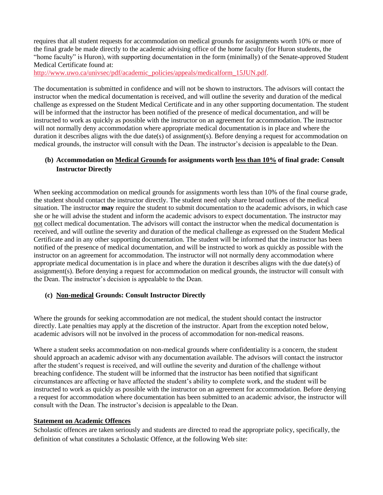requires that all student requests for accommodation on medical grounds for assignments worth 10% or more of the final grade be made directly to the academic advising office of the home faculty (for Huron students, the "home faculty" is Huron), with supporting documentation in the form (minimally) of the Senate-approved Student Medical Certificate found at:

[http://www.uwo.ca/univsec/pdf/academic\\_policies/appeals/medicalform\\_15JUN.pdf.](http://www.uwo.ca/univsec/pdf/academic_policies/appeals/medicalform_15JUN.pdf)

The documentation is submitted in confidence and will not be shown to instructors. The advisors will contact the instructor when the medical documentation is received, and will outline the severity and duration of the medical challenge as expressed on the Student Medical Certificate and in any other supporting documentation. The student will be informed that the instructor has been notified of the presence of medical documentation, and will be instructed to work as quickly as possible with the instructor on an agreement for accommodation. The instructor will not normally deny accommodation where appropriate medical documentation is in place and where the duration it describes aligns with the due date(s) of assignment(s). Before denying a request for accommodation on medical grounds, the instructor will consult with the Dean. The instructor's decision is appealable to the Dean.

# **(b) Accommodation on Medical Grounds for assignments worth less than 10% of final grade: Consult Instructor Directly**

When seeking accommodation on medical grounds for assignments worth less than 10% of the final course grade, the student should contact the instructor directly. The student need only share broad outlines of the medical situation. The instructor **may** require the student to submit documentation to the academic advisors, in which case she or he will advise the student and inform the academic advisors to expect documentation. The instructor may not collect medical documentation. The advisors will contact the instructor when the medical documentation is received, and will outline the severity and duration of the medical challenge as expressed on the Student Medical Certificate and in any other supporting documentation. The student will be informed that the instructor has been notified of the presence of medical documentation, and will be instructed to work as quickly as possible with the instructor on an agreement for accommodation. The instructor will not normally deny accommodation where appropriate medical documentation is in place and where the duration it describes aligns with the due date(s) of assignment(s). Before denying a request for accommodation on medical grounds, the instructor will consult with the Dean. The instructor's decision is appealable to the Dean.

#### **(c) Non-medical Grounds: Consult Instructor Directly**

Where the grounds for seeking accommodation are not medical, the student should contact the instructor directly. Late penalties may apply at the discretion of the instructor. Apart from the exception noted below, academic advisors will not be involved in the process of accommodation for non-medical reasons.

Where a student seeks accommodation on non-medical grounds where confidentiality is a concern, the student should approach an academic advisor with any documentation available. The advisors will contact the instructor after the student's request is received, and will outline the severity and duration of the challenge without breaching confidence. The student will be informed that the instructor has been notified that significant circumstances are affecting or have affected the student's ability to complete work, and the student will be instructed to work as quickly as possible with the instructor on an agreement for accommodation. Before denying a request for accommodation where documentation has been submitted to an academic advisor, the instructor will consult with the Dean. The instructor's decision is appealable to the Dean.

# **Statement on Academic Offences**

Scholastic offences are taken seriously and students are directed to read the appropriate policy, specifically, the definition of what constitutes a Scholastic Offence, at the following Web site: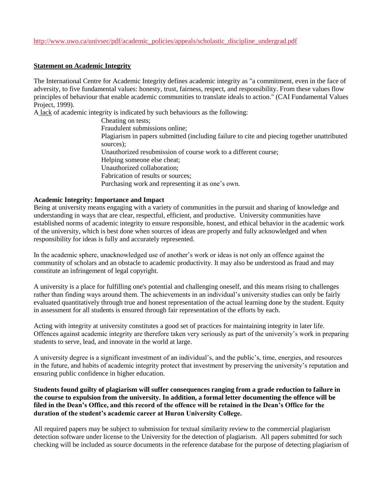# [http://www.uwo.ca/univsec/pdf/academic\\_policies/appeals/scholastic\\_discipline\\_undergrad.pdf](http://www.uwo.ca/univsec/pdf/academic_policies/appeals/scholastic_discipline_undergrad.pdf)

#### **Statement on Academic Integrity**

The International Centre for Academic Integrity defines academic integrity as "a commitment, even in the face of adversity, to five fundamental values: honesty, trust, fairness, respect, and responsibility. From these values flow principles of behaviour that enable academic communities to translate ideals to action." (CAI Fundamental Values Project, 1999).

A lack of academic integrity is indicated by such behaviours as the following:

Cheating on tests; Fraudulent submissions online; Plagiarism in papers submitted (including failure to cite and piecing together unattributed sources); Unauthorized resubmission of course work to a different course; Helping someone else cheat; Unauthorized collaboration; Fabrication of results or sources; Purchasing work and representing it as one's own.

#### **Academic Integrity: Importance and Impact**

Being at university means engaging with a variety of communities in the pursuit and sharing of knowledge and understanding in ways that are clear, respectful, efficient, and productive. University communities have established norms of academic integrity to ensure responsible, honest, and ethical behavior in the academic work of the university, which is best done when sources of ideas are properly and fully acknowledged and when responsibility for ideas is fully and accurately represented.

In the academic sphere, unacknowledged use of another's work or ideas is not only an offence against the community of scholars and an obstacle to academic productivity. It may also be understood as fraud and may constitute an infringement of legal copyright.

A university is a place for fulfilling one's potential and challenging oneself, and this means rising to challenges rather than finding ways around them. The achievements in an individual's university studies can only be fairly evaluated quantitatively through true and honest representation of the actual learning done by the student. Equity in assessment for all students is ensured through fair representation of the efforts by each.

Acting with integrity at university constitutes a good set of practices for maintaining integrity in later life. Offences against academic integrity are therefore taken very seriously as part of the university's work in preparing students to serve, lead, and innovate in the world at large.

A university degree is a significant investment of an individual's, and the public's, time, energies, and resources in the future, and habits of academic integrity protect that investment by preserving the university's reputation and ensuring public confidence in higher education.

#### **Students found guilty of plagiarism will suffer consequences ranging from a grade reduction to failure in the course to expulsion from the university. In addition, a formal letter documenting the offence will be filed in the Dean's Office, and this record of the offence will be retained in the Dean's Office for the duration of the student's academic career at Huron University College.**

All required papers may be subject to submission for textual similarity review to the commercial plagiarism detection software under license to the University for the detection of plagiarism. All papers submitted for such checking will be included as source documents in the reference database for the purpose of detecting plagiarism of